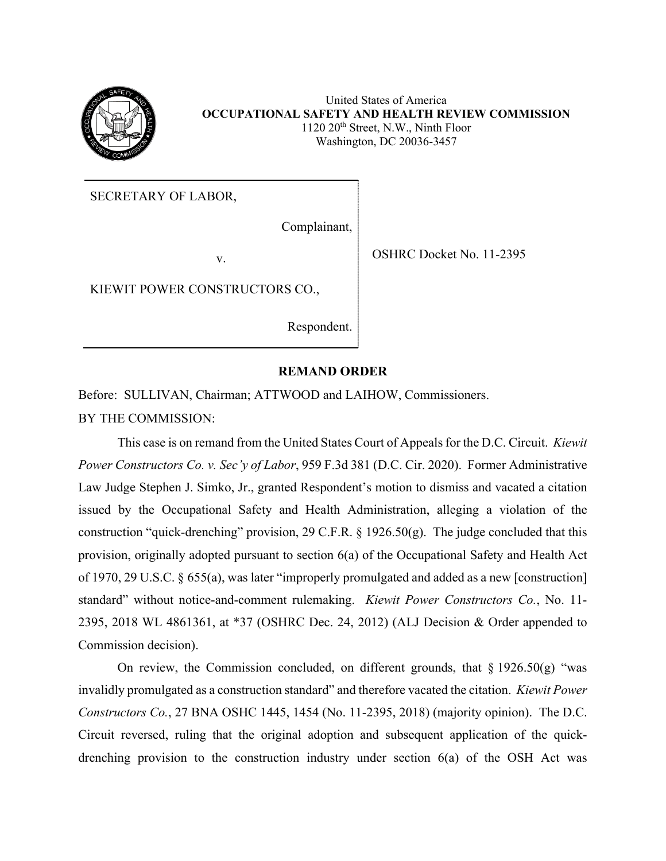

United States of America **OCCUPATIONAL SAFETY AND HEALTH REVIEW COMMISSION** 1120 20<sup>th</sup> Street, N.W., Ninth Floor Washington, DC 20036-3457

SECRETARY OF LABOR,

Complainant,

v. SHRC Docket No. 11-2395

KIEWIT POWER CONSTRUCTORS CO.,

Respondent.

## **REMAND ORDER**

Before: SULLIVAN, Chairman; ATTWOOD and LAIHOW, Commissioners. BY THE COMMISSION:

This case is on remand from the United States Court of Appeals for the D.C. Circuit. *Kiewit Power Constructors Co. v. Sec'y of Labor*, 959 F.3d 381 (D.C. Cir. 2020). Former Administrative Law Judge Stephen J. Simko, Jr., granted Respondent's motion to dismiss and vacated a citation issued by the Occupational Safety and Health Administration, alleging a violation of the construction "quick-drenching" provision, 29 C.F.R. § 1926.50(g). The judge concluded that this provision, originally adopted pursuant to section 6(a) of the Occupational Safety and Health Act of 1970, 29 U.S.C. § 655(a), was later "improperly promulgated and added as a new [construction] standard" without notice-and-comment rulemaking. *Kiewit Power Constructors Co.*, No. 11- 2395, 2018 WL 4861361, at \*37 (OSHRC Dec. 24, 2012) (ALJ Decision & Order appended to Commission decision).

On review, the Commission concluded, on different grounds, that  $\S 1926.50(g)$  "was invalidly promulgated as a construction standard" and therefore vacated the citation. *Kiewit Power Constructors Co.*, 27 BNA OSHC 1445, 1454 (No. 11-2395, 2018) (majority opinion). The D.C. Circuit reversed, ruling that the original adoption and subsequent application of the quickdrenching provision to the construction industry under section 6(a) of the OSH Act was